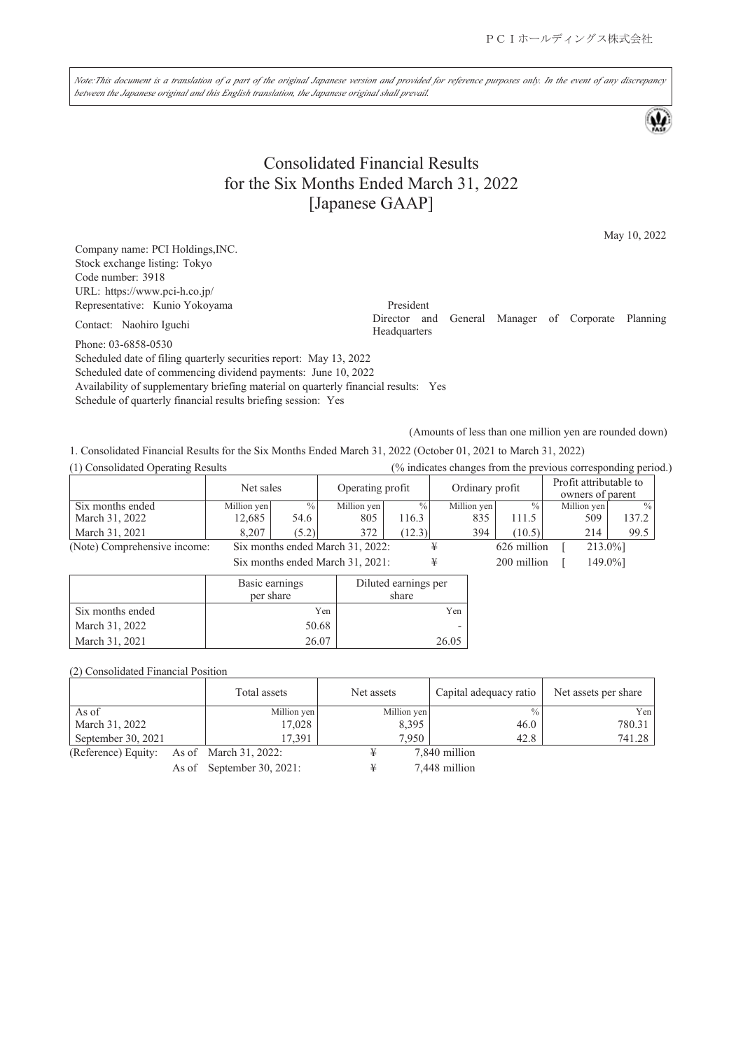Note:This document is a translation of a part of the original Japanese version and provided for reference purposes only. In the event of any discrepancy *between the Japanese original and this English translation, the Japanese original shall prevail.*

# Consolidated Financial Results for the Six Months Ended March 31, 2022 [Japanese GAAP]

May 10, 2022

Company name: PCI Holdings,INC. Stock exchange listing: Tokyo Code number: 3918 URL: https://www.pci-h.co.jp/ Representative: Kunio Yokoyama President<br>
President<br>
Director and

Contact: Naohiro Iguchi

Phone: 03-6858-0530

Scheduled date of filing quarterly securities report: May 13, 2022 Scheduled date of commencing dividend payments: June 10, 2022

Availability of supplementary briefing material on quarterly financial results: Yes

Schedule of quarterly financial results briefing session: Yes

(Amounts of less than one million yen are rounded down)

1. Consolidated Financial Results for the Six Months Ended March 31, 2022 (October 01, 2021 to March 31, 2022)

| (1) Consolidated Operating Results |             |               |                                  |               |                 |               | (% indicates changes from the previous corresponding period.) |             |
|------------------------------------|-------------|---------------|----------------------------------|---------------|-----------------|---------------|---------------------------------------------------------------|-------------|
|                                    | Net sales   |               | Operating profit                 |               | Ordinary profit |               | Profit attributable to<br>owners of parent                    |             |
| Six months ended                   | Million yen | $\frac{0}{0}$ | Million yen                      | $\frac{0}{0}$ | Million yen     | $\frac{0}{0}$ | Million yen                                                   | $^{0}/_{0}$ |
| March 31, 2022                     | 12,685      | 54.6          | 805                              | 116.3         | 835             | 111.5         | 509                                                           | 137.2       |
| March 31, 2021                     | 8.207       | (5.2)         | 372                              | (12.3)        | 394             | (10.5)        | 214                                                           | 99.5        |
| (Note) Comprehensive income:       |             |               | Six months ended March 31, 2022: |               |                 | 626 million   | 213.0%]                                                       |             |
|                                    |             |               | Six months ended March 31, 2021: |               |                 | 200 million   | 149.0%]                                                       |             |

|                  | Basic earnings<br>per share | Diluted earnings per<br>share |
|------------------|-----------------------------|-------------------------------|
| Six months ended | Yen                         | Yen                           |
| March 31, 2022   | 50.68                       |                               |
| March 31, 2021   | 26.07                       |                               |

(2) Consolidated Financial Position

|                                           | Total assets | Net assets  | Capital adequacy ratio | Net assets per share |
|-------------------------------------------|--------------|-------------|------------------------|----------------------|
| As of                                     | Million yen  | Million yen | $\frac{0}{0}$          | Yen                  |
| March 31, 2022                            | 17.028       | 8,395       | 46.0                   | 780.31               |
| September 30, 2021                        | 17.391       | 7,950       | 42.8                   | 741.28               |
| (Reference) Equity: As of March 31, 2022: |              |             | 7,840 million          |                      |

As of September 30, 2021: ¥ 7,448 million

General Manager of Corporate Planning Headquarters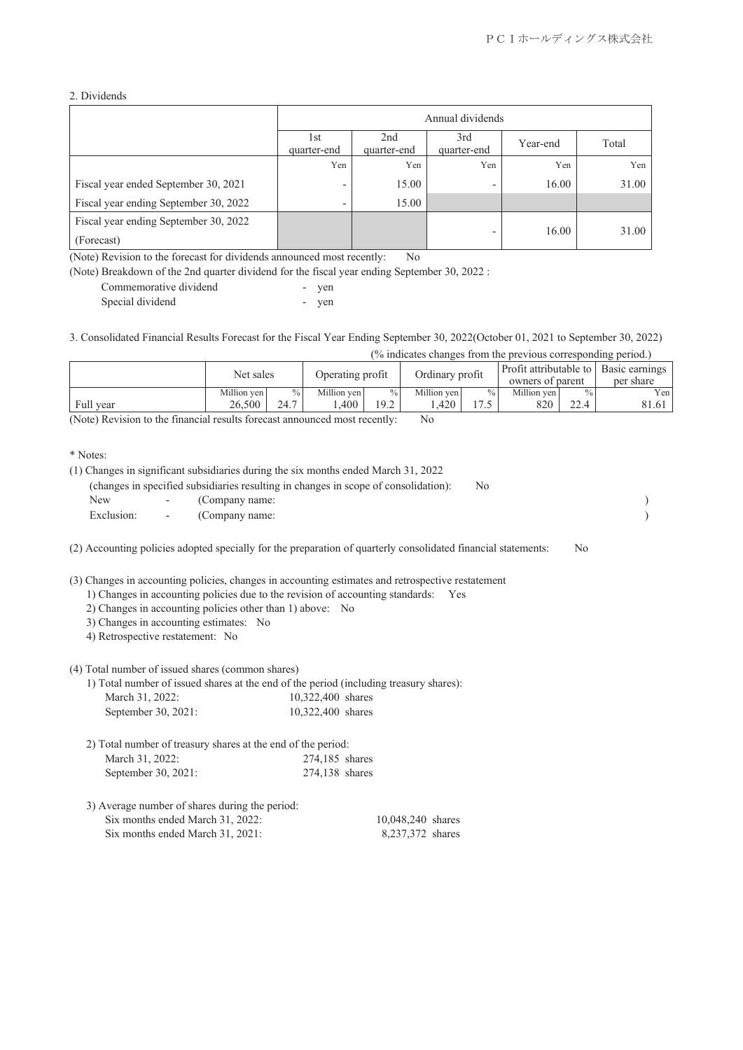#### 2. Dividends

|                                                     | Annual dividends         |                                |                          |          |       |  |
|-----------------------------------------------------|--------------------------|--------------------------------|--------------------------|----------|-------|--|
|                                                     | 1st<br>quarter-end       | 2 <sub>nd</sub><br>quarter-end | 3rd<br>quarter-end       | Year-end | Total |  |
|                                                     | Yen                      | Yen                            | Yen                      | Yen      | Yen   |  |
| Fiscal year ended September 30, 2021                | $\overline{\phantom{0}}$ | 15.00                          | $\overline{\phantom{a}}$ | 16.00    | 31.00 |  |
| Fiscal year ending September 30, 2022               | $\overline{\phantom{0}}$ | 15.00                          |                          |          |       |  |
| Fiscal year ending September 30, 2022<br>(Forecast) |                          |                                | -                        | 16.00    | 31.00 |  |

(Note) Revision to the forecast for dividends announced most recently: No

(Note) Breakdown of the 2nd quarter dividend for the fiscal year ending September 30, 2022 :

| Commemorative dividend | yen |
|------------------------|-----|
| Special dividend       | ven |

3. Consolidated Financial Results Forecast for the Fiscal Year Ending September 30, 2022(October 01, 2021 to September 30, 2022)

(% indicates changes from the previous corresponding period.)

|           | Net sales   |               | Operating profit |               | Ordinary profit |               | owners of parent |                | Profit attributable to   Basic earnings  <br>per share |
|-----------|-------------|---------------|------------------|---------------|-----------------|---------------|------------------|----------------|--------------------------------------------------------|
|           | Million yen | $\frac{0}{0}$ | Million ven      | $\frac{0}{0}$ | Million ven     | $\frac{9}{6}$ | Million yen      | $\frac{0}{0}$  | Yen                                                    |
| Full year | 26,500      | 24.7          | .400             | 19.2          | .420            |               | 820              | $\cap$<br>44.T | 81.61                                                  |

(Note) Revision to the financial results forecast announced most recently: No

\* Notes:

|            | (1) Changes in significant subsidiaries during the six months ended March 31, 2022  |     |  |
|------------|-------------------------------------------------------------------------------------|-----|--|
|            | (changes in specified subsidiaries resulting in changes in scope of consolidation): | No. |  |
| New        | - (Company name:                                                                    |     |  |
| Exclusion: | - (Company name:                                                                    |     |  |
|            |                                                                                     |     |  |

(2) Accounting policies adopted specially for the preparation of quarterly consolidated financial statements: No

(3) Changes in accounting policies, changes in accounting estimates and retrospective restatement

- 1) Changes in accounting policies due to the revision of accounting standards: Yes
- 2) Changes in accounting policies other than 1) above: No
- 3) Changes in accounting estimates: No
- 4) Retrospective restatement: No

#### (4) Total number of issued shares (common shares)

| 1) Total number of issued shares at the end of the period (including treasury shares): |                   |  |  |
|----------------------------------------------------------------------------------------|-------------------|--|--|
| March 31, 2022:                                                                        | 10,322,400 shares |  |  |

| 10,322,400 shares<br>September 30, 2021: |
|------------------------------------------|
|                                          |

| 2) Total number of treasury shares at the end of the period: |                |
|--------------------------------------------------------------|----------------|
| March 31, 2022:                                              | 274,185 shares |
| September 30, 2021:                                          | 274,138 shares |

| 3) Average number of shares during the period: |                   |
|------------------------------------------------|-------------------|
| Six months ended March 31, 2022:               | 10,048,240 shares |
| Six months ended March 31, 2021:               | 8.237.372 shares  |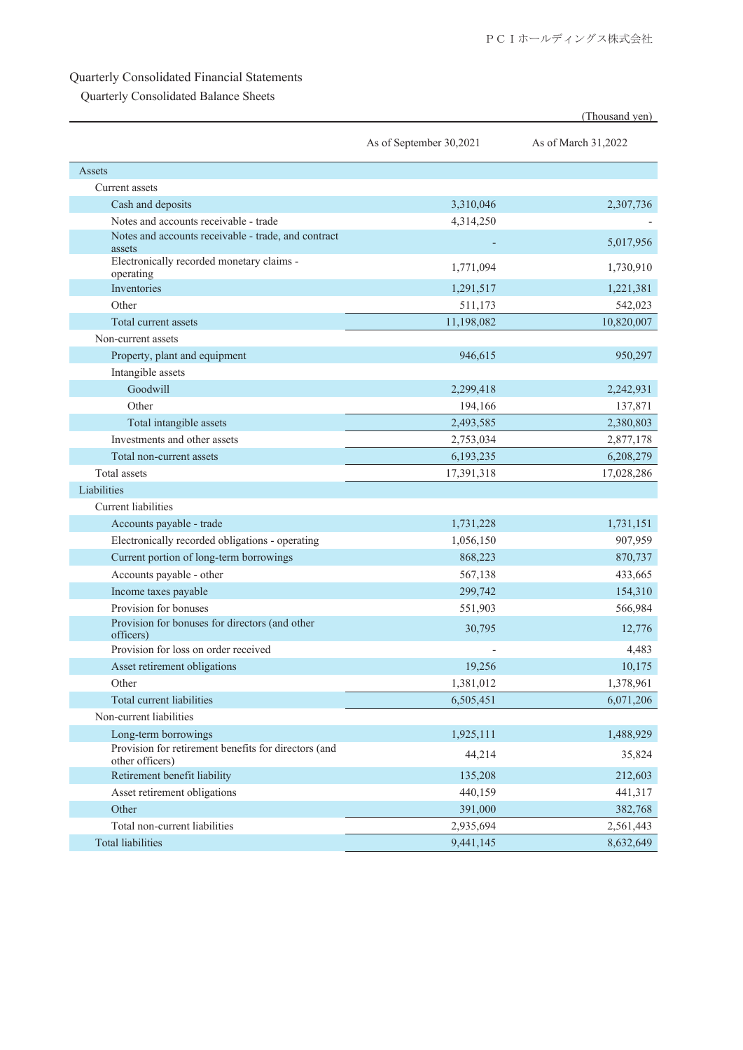## Quarterly Consolidated Financial Statements

Quarterly Consolidated Balance Sheets

|                                                                         |                         | (Thousand yen)      |
|-------------------------------------------------------------------------|-------------------------|---------------------|
|                                                                         | As of September 30,2021 | As of March 31,2022 |
| Assets                                                                  |                         |                     |
| Current assets                                                          |                         |                     |
| Cash and deposits                                                       | 3,310,046               | 2,307,736           |
| Notes and accounts receivable - trade                                   | 4,314,250               |                     |
| Notes and accounts receivable - trade, and contract<br>assets           |                         | 5,017,956           |
| Electronically recorded monetary claims -<br>operating                  | 1,771,094               | 1,730,910           |
| Inventories                                                             | 1,291,517               | 1,221,381           |
| Other                                                                   | 511,173                 | 542,023             |
| Total current assets                                                    | 11,198,082              | 10,820,007          |
| Non-current assets                                                      |                         |                     |
| Property, plant and equipment                                           | 946,615                 | 950,297             |
| Intangible assets                                                       |                         |                     |
| Goodwill                                                                | 2,299,418               | 2,242,931           |
| Other                                                                   | 194,166                 | 137,871             |
| Total intangible assets                                                 | 2,493,585               | 2,380,803           |
| Investments and other assets                                            | 2,753,034               | 2,877,178           |
| Total non-current assets                                                | 6,193,235               | 6,208,279           |
| Total assets                                                            | 17,391,318              | 17,028,286          |
| Liabilities                                                             |                         |                     |
| <b>Current</b> liabilities                                              |                         |                     |
| Accounts payable - trade                                                | 1,731,228               | 1,731,151           |
| Electronically recorded obligations - operating                         | 1,056,150               | 907,959             |
| Current portion of long-term borrowings                                 | 868,223                 | 870,737             |
| Accounts payable - other                                                | 567,138                 | 433,665             |
| Income taxes payable                                                    | 299,742                 | 154,310             |
| Provision for bonuses                                                   | 551,903                 | 566,984             |
| Provision for bonuses for directors (and other<br>officers)             | 30,795                  | 12,776              |
| Provision for loss on order received                                    |                         | 4,483               |
| Asset retirement obligations                                            | 19,256                  | 10,175              |
| Other                                                                   | 1,381,012               | 1,378,961           |
| Total current liabilities                                               | 6,505,451               | 6,071,206           |
| Non-current liabilities                                                 |                         |                     |
| Long-term borrowings                                                    | 1,925,111               | 1,488,929           |
| Provision for retirement benefits for directors (and<br>other officers) | 44,214                  | 35,824              |
| Retirement benefit liability                                            | 135,208                 | 212,603             |
| Asset retirement obligations                                            | 440,159                 | 441,317             |
| Other                                                                   | 391,000                 | 382,768             |
| Total non-current liabilities                                           | 2,935,694               | 2,561,443           |
| <b>Total liabilities</b>                                                | 9,441,145               | 8,632,649           |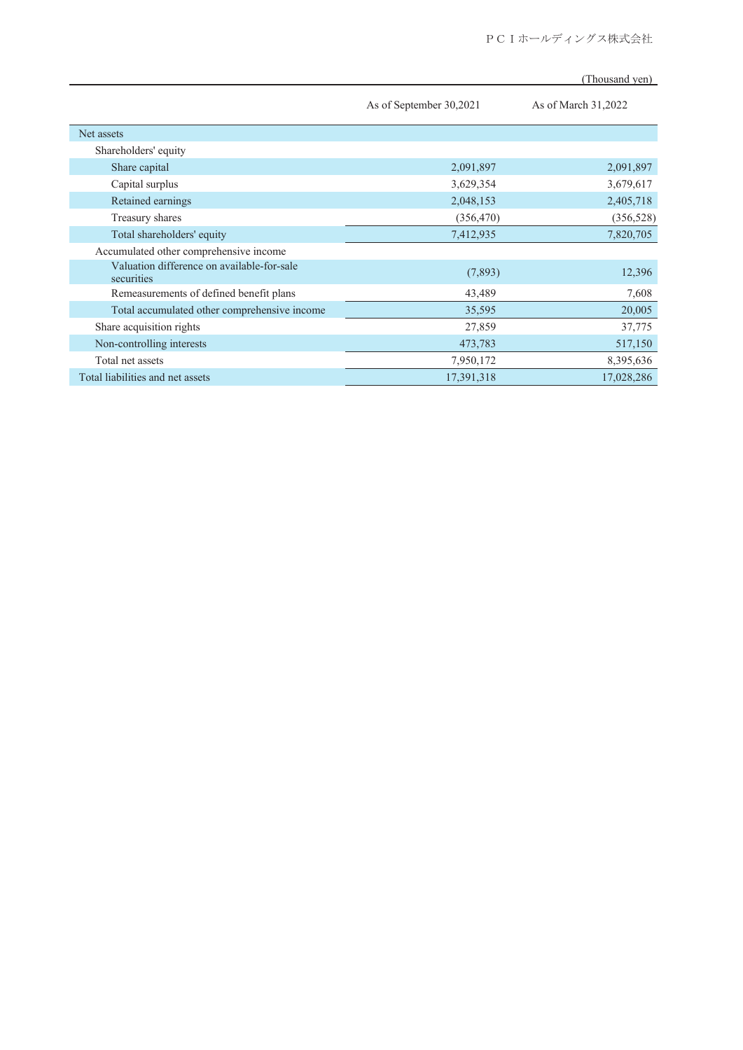|                                                          | As of September 30,2021 | As of March 31,2022 |
|----------------------------------------------------------|-------------------------|---------------------|
| Net assets                                               |                         |                     |
| Shareholders' equity                                     |                         |                     |
| Share capital                                            | 2,091,897               | 2,091,897           |
| Capital surplus                                          | 3,629,354               | 3,679,617           |
| Retained earnings                                        | 2,048,153               | 2,405,718           |
| Treasury shares                                          | (356, 470)              | (356, 528)          |
| Total shareholders' equity                               | 7,412,935               | 7,820,705           |
| Accumulated other comprehensive income                   |                         |                     |
| Valuation difference on available-for-sale<br>securities | (7,893)                 | 12,396              |
| Remeasurements of defined benefit plans                  | 43,489                  | 7,608               |
| Total accumulated other comprehensive income             | 35,595                  | 20,005              |
| Share acquisition rights                                 | 27,859                  | 37,775              |
| Non-controlling interests                                | 473,783                 | 517,150             |
| Total net assets                                         | 7,950,172               | 8,395,636           |
| Total liabilities and net assets                         | 17,391,318              | 17,028,286          |

### (Thousand yen)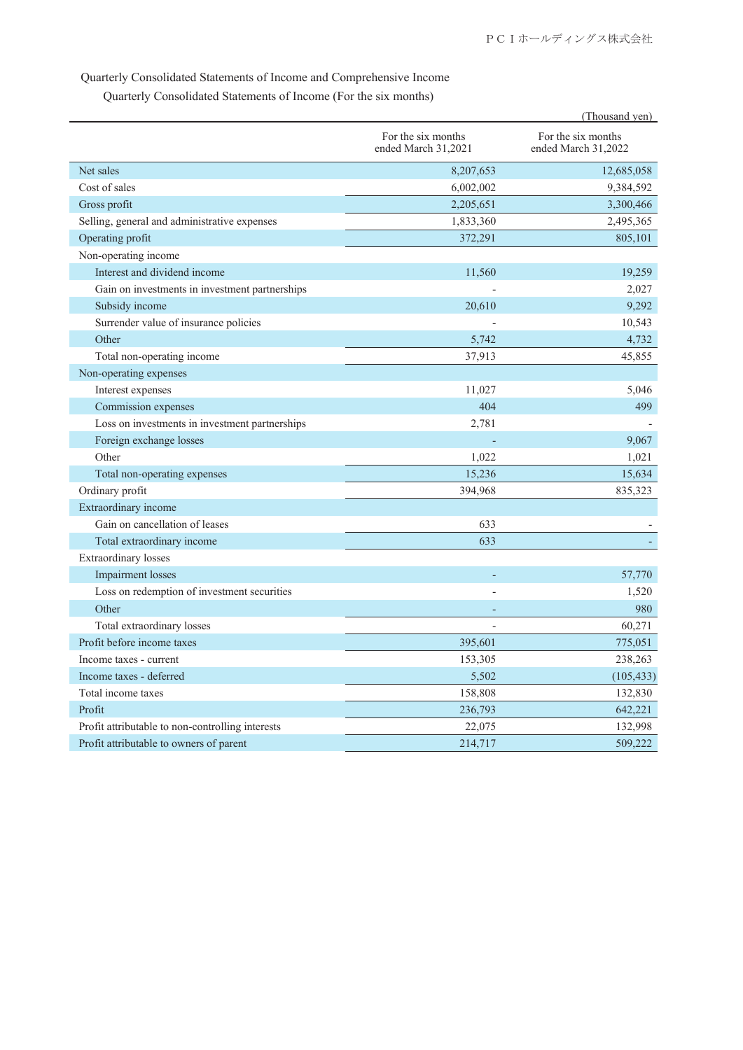## Quarterly Consolidated Statements of Income and Comprehensive Income

Quarterly Consolidated Statements of Income (For the six months)

|                                                  |                                           | (Thousand yen)                            |  |
|--------------------------------------------------|-------------------------------------------|-------------------------------------------|--|
|                                                  | For the six months<br>ended March 31,2021 | For the six months<br>ended March 31,2022 |  |
| Net sales                                        | 8,207,653                                 | 12,685,058                                |  |
| Cost of sales                                    | 6,002,002                                 | 9,384,592                                 |  |
| Gross profit                                     | 2,205,651                                 | 3,300,466                                 |  |
| Selling, general and administrative expenses     | 1,833,360                                 | 2,495,365                                 |  |
| Operating profit                                 | 372,291                                   | 805,101                                   |  |
| Non-operating income                             |                                           |                                           |  |
| Interest and dividend income                     | 11,560                                    | 19,259                                    |  |
| Gain on investments in investment partnerships   |                                           | 2,027                                     |  |
| Subsidy income                                   | 20,610                                    | 9,292                                     |  |
| Surrender value of insurance policies            |                                           | 10,543                                    |  |
| Other                                            | 5,742                                     | 4,732                                     |  |
| Total non-operating income                       | 37,913                                    | 45,855                                    |  |
| Non-operating expenses                           |                                           |                                           |  |
| Interest expenses                                | 11,027                                    | 5,046                                     |  |
| Commission expenses                              | 404                                       | 499                                       |  |
| Loss on investments in investment partnerships   | 2,781                                     |                                           |  |
| Foreign exchange losses                          |                                           | 9,067                                     |  |
| Other                                            | 1,022                                     | 1,021                                     |  |
| Total non-operating expenses                     | 15,236                                    | 15,634                                    |  |
| Ordinary profit                                  | 394,968                                   | 835,323                                   |  |
| Extraordinary income                             |                                           |                                           |  |
| Gain on cancellation of leases                   | 633                                       |                                           |  |
| Total extraordinary income                       | 633                                       |                                           |  |
| <b>Extraordinary</b> losses                      |                                           |                                           |  |
| <b>Impairment</b> losses                         |                                           | 57,770                                    |  |
| Loss on redemption of investment securities      |                                           | 1,520                                     |  |
| Other                                            |                                           | 980                                       |  |
| Total extraordinary losses                       |                                           | 60,271                                    |  |
| Profit before income taxes                       | 395,601                                   | 775,051                                   |  |
| Income taxes - current                           | 153,305                                   | 238,263                                   |  |
| Income taxes - deferred                          | 5,502                                     | (105, 433)                                |  |
| Total income taxes                               | 158,808                                   | 132,830                                   |  |
| Profit                                           | 236,793                                   | 642,221                                   |  |
| Profit attributable to non-controlling interests | 22,075                                    | 132,998                                   |  |
| Profit attributable to owners of parent          | 214,717                                   | 509,222                                   |  |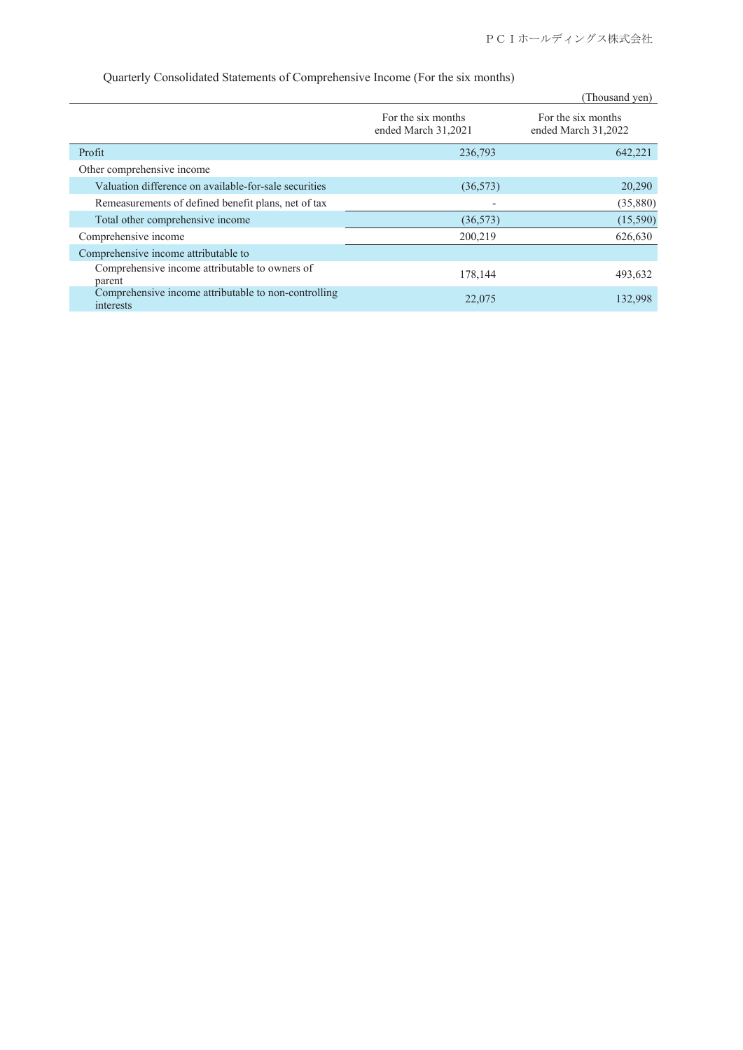|                                                                   |                                           | (Thousand yen)                            |
|-------------------------------------------------------------------|-------------------------------------------|-------------------------------------------|
|                                                                   | For the six months<br>ended March 31,2021 | For the six months<br>ended March 31,2022 |
| Profit                                                            | 236,793                                   | 642,221                                   |
| Other comprehensive income                                        |                                           |                                           |
| Valuation difference on available-for-sale securities             | (36, 573)                                 | 20,290                                    |
| Remeasurements of defined benefit plans, net of tax               |                                           | (35,880)                                  |
| Total other comprehensive income                                  | (36, 573)                                 | (15,590)                                  |
| Comprehensive income                                              | 200,219                                   | 626,630                                   |
| Comprehensive income attributable to                              |                                           |                                           |
| Comprehensive income attributable to owners of<br>parent          | 178,144                                   | 493,632                                   |
| Comprehensive income attributable to non-controlling<br>interests | 22,075                                    | 132,998                                   |

Quarterly Consolidated Statements of Comprehensive Income (For the six months)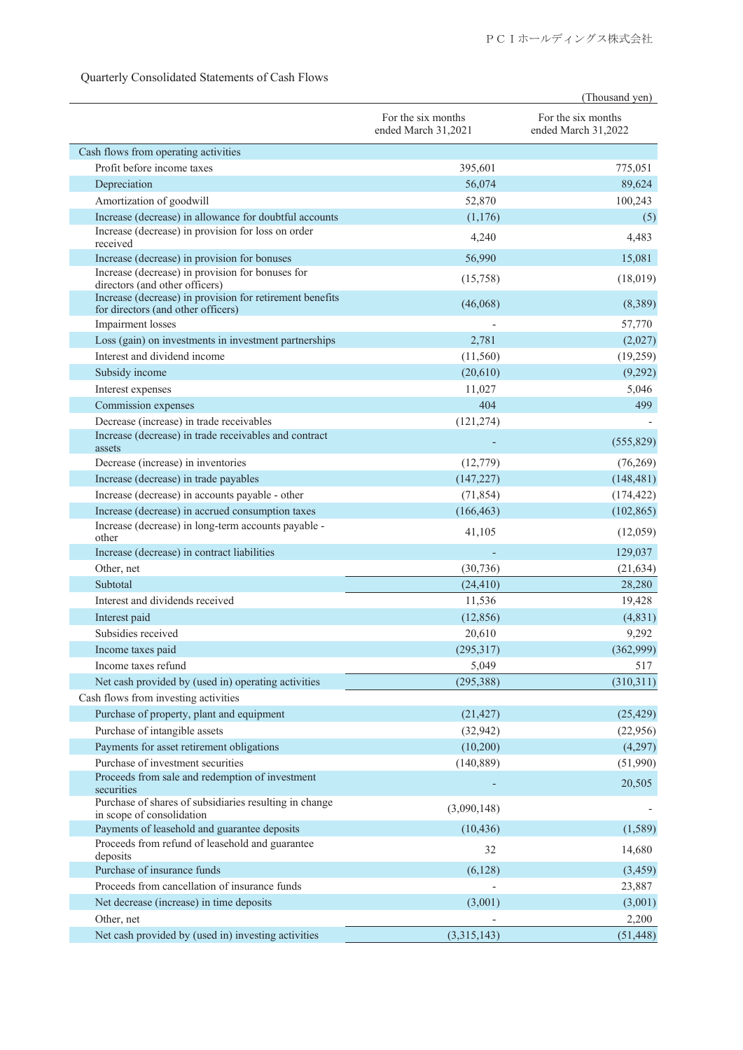|                                                                                                                         |                                           | (Thousand yen)                            |  |
|-------------------------------------------------------------------------------------------------------------------------|-------------------------------------------|-------------------------------------------|--|
|                                                                                                                         | For the six months<br>ended March 31,2021 | For the six months<br>ended March 31,2022 |  |
| Cash flows from operating activities                                                                                    |                                           |                                           |  |
| Profit before income taxes                                                                                              | 395,601                                   | 775,051                                   |  |
| Depreciation                                                                                                            | 56,074                                    | 89,624                                    |  |
| Amortization of goodwill                                                                                                | 52,870                                    | 100,243                                   |  |
| Increase (decrease) in allowance for doubtful accounts                                                                  | (1,176)                                   | (5)                                       |  |
| Increase (decrease) in provision for loss on order<br>received                                                          | 4,240                                     | 4,483                                     |  |
| Increase (decrease) in provision for bonuses                                                                            | 56,990                                    | 15,081                                    |  |
| Increase (decrease) in provision for bonuses for<br>directors (and other officers)                                      | (15,758)                                  | (18,019)                                  |  |
| Increase (decrease) in provision for retirement benefits<br>for directors (and other officers)                          | (46,068)                                  | (8,389)                                   |  |
| Impairment losses                                                                                                       |                                           | 57,770                                    |  |
| Loss (gain) on investments in investment partnerships                                                                   | 2,781                                     | (2,027)                                   |  |
| Interest and dividend income                                                                                            | (11,560)                                  | (19,259)                                  |  |
| Subsidy income                                                                                                          | (20,610)                                  | (9,292)                                   |  |
| Interest expenses                                                                                                       | 11,027                                    | 5,046                                     |  |
| Commission expenses                                                                                                     | 404                                       | 499                                       |  |
| Decrease (increase) in trade receivables                                                                                | (121, 274)                                |                                           |  |
| Increase (decrease) in trade receivables and contract<br>assets                                                         |                                           | (555, 829)                                |  |
| Decrease (increase) in inventories                                                                                      | (12, 779)                                 | (76,269)                                  |  |
| Increase (decrease) in trade payables                                                                                   | (147, 227)                                | (148, 481)                                |  |
| Increase (decrease) in accounts payable - other                                                                         | (71, 854)                                 | (174, 422)                                |  |
| Increase (decrease) in accrued consumption taxes                                                                        | (166, 463)                                | (102, 865)                                |  |
| Increase (decrease) in long-term accounts payable -<br>other                                                            | 41,105                                    | (12,059)                                  |  |
| Increase (decrease) in contract liabilities                                                                             |                                           | 129,037                                   |  |
| Other, net                                                                                                              | (30, 736)                                 | (21, 634)                                 |  |
| Subtotal                                                                                                                | (24, 410)                                 | 28,280                                    |  |
| Interest and dividends received                                                                                         | 11,536                                    | 19,428                                    |  |
| Interest paid                                                                                                           | (12, 856)                                 | (4,831)                                   |  |
| Subsidies received                                                                                                      | 20,610                                    | 9,292                                     |  |
| Income taxes paid                                                                                                       | (295, 317)                                | (362,999)                                 |  |
| Income taxes refund                                                                                                     | 5,049                                     | 517                                       |  |
| Net cash provided by (used in) operating activities                                                                     | (295, 388)                                | (310,311)                                 |  |
| Cash flows from investing activities                                                                                    |                                           |                                           |  |
| Purchase of property, plant and equipment                                                                               | (21, 427)                                 | (25, 429)                                 |  |
| Purchase of intangible assets                                                                                           | (32, 942)                                 | (22,956)                                  |  |
| Payments for asset retirement obligations                                                                               | (10,200)                                  | (4,297)                                   |  |
| Purchase of investment securities                                                                                       | (140, 889)                                | (51,990)                                  |  |
| Proceeds from sale and redemption of investment<br>securities<br>Purchase of shares of subsidiaries resulting in change |                                           | 20,505                                    |  |
| in scope of consolidation                                                                                               | (3,090,148)                               |                                           |  |
| Payments of leasehold and guarantee deposits                                                                            | (10, 436)                                 | (1,589)                                   |  |
| Proceeds from refund of leasehold and guarantee<br>deposits                                                             | 32                                        | 14,680                                    |  |
| Purchase of insurance funds                                                                                             | (6,128)                                   | (3, 459)                                  |  |
| Proceeds from cancellation of insurance funds                                                                           |                                           | 23,887                                    |  |
| Net decrease (increase) in time deposits                                                                                | (3,001)                                   | (3,001)                                   |  |
| Other, net                                                                                                              |                                           | 2,200                                     |  |
| Net cash provided by (used in) investing activities                                                                     | (3,315,143)                               | (51, 448)                                 |  |

## Quarterly Consolidated Statements of Cash Flows